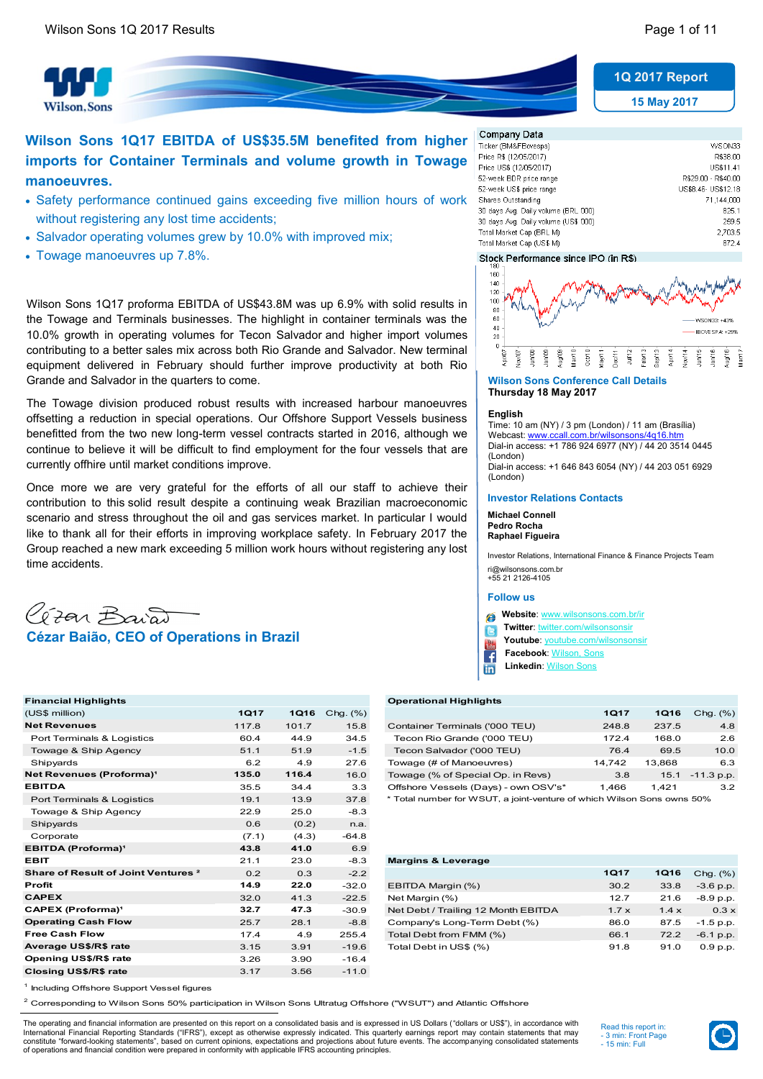**Vilson, Sons** 



**15 May 2017**

# **Wilson Sons 1Q17 EBITDA of US\$35.5M benefited from higher imports for Container Terminals and volume growth in Towage manoeuvres.**

- Safety performance continued gains exceeding five million hours of work without registering any lost time accidents;
- Salvador operating volumes grew by 10.0% with improved mix;
- Towage manoeuvres up 7.8%.

Wilson Sons 1Q17 proforma EBITDA of US\$43.8M was up 6.9% with solid results in the Towage and Terminals businesses. The highlight in container terminals was the 10.0% growth in operating volumes for Tecon Salvador and higher import volumes contributing to a better sales mix across both Rio Grande and Salvador. New terminal equipment delivered in February should further improve productivity at both Rio Grande and Salvador in the quarters to come.

The Towage division produced robust results with increased harbour manoeuvres offsetting a reduction in special operations. Our Offshore Support Vessels business benefitted from the two new long-term vessel contracts started in 2016, although we continue to believe it will be difficult to find employment for the four vessels that are currently offhire until market conditions improve.

Once more we are very grateful for the efforts of all our staff to achieve their contribution to this solid result despite a continuing weak Brazilian macroeconomic scenario and stress throughout the oil and gas services market. In particular I would like to thank all for their efforts in improving workplace safety. In February 2017 the Group reached a new mark exceeding 5 million work hours without registering any lost time accidents.



| <b>Financial Highlights</b>                    |             |             |             | <b>Operational Highlights</b>                                          |             |             |              |
|------------------------------------------------|-------------|-------------|-------------|------------------------------------------------------------------------|-------------|-------------|--------------|
| (US\$ million)                                 | <b>1Q17</b> | <b>1Q16</b> | Chg. $(\%)$ |                                                                        | <b>1Q17</b> | <b>1Q16</b> | Chg. $(\%)$  |
| <b>Net Revenues</b>                            | 117.8       | 101.7       | 15.8        | Container Terminals ('000 TEU)                                         | 248.8       | 237.5       | 4.8          |
| Port Terminals & Logistics                     | 60.4        | 44.9        | 34.5        | Tecon Rio Grande ('000 TEU)                                            | 172.4       | 168.0       | 2.6          |
| Towage & Ship Agency                           | 51.1        | 51.9        | $-1.5$      | Tecon Salvador ('000 TEU)                                              | 76.4        | 69.5        | 10.0         |
| Shipyards                                      | 6.2         | 4.9         | 27.6        | Towage (# of Manoeuvres)                                               | 14,742      | 13,868      | 6.3          |
| Net Revenues (Proforma) <sup>1</sup>           | 135.0       | 116.4       | 16.0        | Towage (% of Special Op. in Revs)                                      | 3.8         | 15.1        | $-11.3$ p.p. |
| <b>EBITDA</b>                                  | 35.5        | 34.4        | 3.3         | Offshore Vessels (Days) - own OSV's*                                   | 1.466       | 1,421       | 3.2          |
| Port Terminals & Logistics                     | 19.1        | 13.9        | 37.8        | * Total number for WSUT, a joint-venture of which Wilson Sons owns 50% |             |             |              |
| Towage & Ship Agency                           | 22.9        | 25.0        | $-8.3$      |                                                                        |             |             |              |
| Shipyards                                      | 0.6         | (0.2)       | n.a.        |                                                                        |             |             |              |
| Corporate                                      | (7.1)       | (4.3)       | $-64.8$     |                                                                        |             |             |              |
| <b>EBITDA</b> (Proforma) <sup>1</sup>          | 43.8        | 41.0        | 6.9         |                                                                        |             |             |              |
| <b>EBIT</b>                                    | 21.1        | 23.0        | $-8.3$      | <b>Margins &amp; Leverage</b>                                          |             |             |              |
| Share of Result of Joint Ventures <sup>2</sup> | 0.2         | 0.3         | $-2.2$      |                                                                        | <b>1Q17</b> | <b>1Q16</b> | Chg. (%)     |
| Profit                                         | 14.9        | 22.0        | $-32.0$     | EBITDA Margin (%)                                                      | 30.2        | 33.8        | $-3.6$ p.p.  |
| <b>CAPEX</b>                                   | 32.0        | 41.3        | $-22.5$     | Net Margin (%)                                                         | 12.7        | 21.6        | $-8.9 p.p.$  |
| <b>CAPEX (Proforma)<sup>1</sup></b>            | 32.7        | 47.3        | $-30.9$     | Net Debt / Trailing 12 Month EBITDA                                    | 1.7x        | 1.4x        | $0.3 \times$ |
| <b>Operating Cash Flow</b>                     | 25.7        | 28.1        | $-8.8$      | Company's Long-Term Debt (%)                                           | 86.0        | 87.5        | $-1.5$ p.p.  |
| <b>Free Cash Flow</b>                          | 17.4        | 4.9         | 255.4       | Total Debt from FMM (%)                                                | 66.1        | 72.2        | $-6.1$ p.p.  |
| Average US\$/R\$ rate                          | 3.15        | 3.91        | $-19.6$     | Total Debt in US\$ (%)                                                 | 91.8        | 91.0        | 0.9 p.p.     |
| Opening US\$/R\$ rate                          | 3.26        | 3.90        | $-16.4$     |                                                                        |             |             |              |
| <b>Closing US\$/R\$ rate</b>                   | 3.17        | 3.56        | $-11.0$     |                                                                        |             |             |              |

| WSON33              |
|---------------------|
| R\$38.00            |
| US\$11.41           |
| R\$29.00 - R\$40.00 |
| US\$8.46- US\$12.18 |
| 71.144.000          |
| 825.1               |
| 259.5               |
| 2.703.5             |
| 872.4               |
|                     |

#### Stock Performance since IPO (in R\$)



#### **Wilson Sons Conference Call Details Thursday 18 May 2017**

#### **English**

Time: 10 am (NY) / 3 pm (London) / 11 am (Brasília) Webcast: www.cca Dial-in access: +1 786 924 6977 (NY) / 44 20 3514 0445 (London) Dial-in access: +1 646 843 6054 (NY) / 44 203 051 6929 (London)

### **Investor Relations Contacts**

**Michael Connell Pedro Rocha Raphael Figueira**

Investor Relations, International Finance & Finance Projects Team ri@wilsonsons.com.br +55 21 2126-4105

#### **Follow us**

 **Website**: [www.wilsonsons.com.br/ir](http://www.wilsonsons.com.br/ir)

- **Twitter**: [twitter.com/wilsonsonsir](http://www.twitter.com/wilsonsonsir) i le
- **Youtube**: [youtube.com/wilsonsonsir](http://www.youtube.com/wilsonsonsir)
- **Facebook**: [Wilson, Sons](https://www.facebook.com/WilsonsonsBR)
- **Linkedin**: [Wilson Sons](http://www.linkedin.com/company/674075?trk=prof-exp-company-name) in

#### **Financial Highlights Operational Highlights**

|                                                                                                                    | 4.8          |
|--------------------------------------------------------------------------------------------------------------------|--------------|
| let Revenues<br>Container Terminals ('000 TEU)<br>15.8<br>237.5<br>117.8<br>248.8<br>101.7                         |              |
| Port Terminals & Logistics<br>Tecon Rio Grande ('000 TEU)<br>168.0<br>60.4<br>44.9<br>34.5<br>172.4                | 2.6          |
| Towage & Ship Agency<br>Tecon Salvador ('000 TEU)<br>$-1.5$<br>51.1<br>69.5<br>51.9<br>76.4                        | 10.0         |
| Shipyards<br>Towage (# of Manoeuvres)<br>13.868<br>6.2<br>14.742<br>27.6<br>4.9                                    | 6.3          |
| let Revenues (Proforma) <sup>1</sup><br>135.0<br>116.4<br>Towage (% of Special Op. in Revs)<br>16.0<br>15.1<br>3.8 | $-11.3$ p.p. |
| <b>BITDA</b><br>Offshore Vessels (Days) - own OSV's*<br>35.5<br>3.3<br>1.466<br>34.4<br>1.421                      | 3.2          |

| <b>Margins &amp; Leverage</b>       |              |    |
|-------------------------------------|--------------|----|
|                                     | <b>1Q17</b>  | 10 |
| EBITDA Margin (%)                   | 30.2         | 3  |
| Net Margin (%)                      | 127          | 2  |
| Net Debt / Trailing 12 Month EBITDA | $1.7 \times$ | 1. |
| Company's Long-Term Debt (%)        | 86.0         | 8  |

<sup>1</sup> Including Offshore Support Vessel figures

 $^2$  Corresponding to Wilson Sons 50% participation in Wilson Sons Ultratug Offshore ("WSUT") and Atlantic Offshore

The operating and financial information are presented on this report on a consolidated basis and is expressed in US Dollars ("dollars or US\$"), in accordance with International Financial Reporting Standards ("IFRS"), except as otherwise expressly indicated. This quarterly earnings report may contain statements that may constitute "forward-looking statements", based on current opinions, expectations and projections about future events. The accompanying consolidated statements<br>of operations and financial condition were prepared in conformi

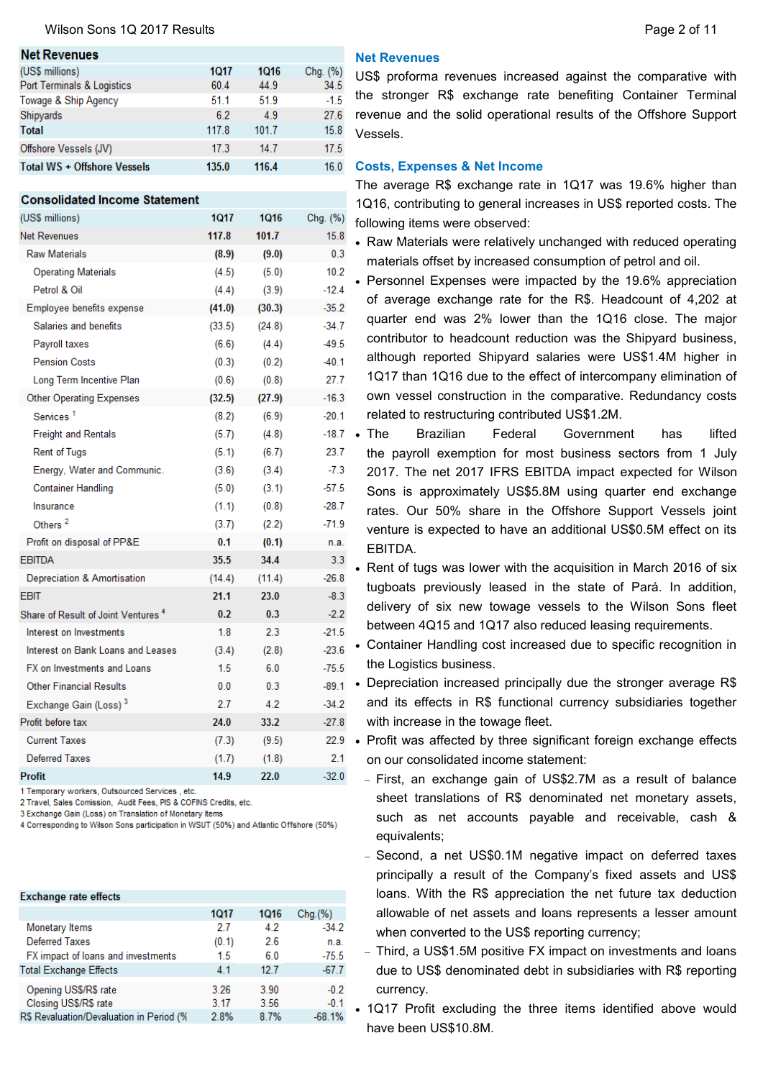## Wilson Sons 1Q 2017 Results **Page 2 of 11** Nilson Sons 1Q 2017 Results

| <b>Net Revenues</b>                |       |       |          |
|------------------------------------|-------|-------|----------|
| (US\$ millions)                    | 1017  | 1016  | Chg. (%) |
| Port Terminals & Logistics         | 60.4  | 44.9  | 34.5     |
| Towage & Ship Agency               | 51.1  | 51.9  | $-1.5$   |
| Shipyards                          | 6.2   | 4.9   | 27.6     |
| <b>Total</b>                       | 117.8 | 101.7 | 15.8     |
| Offshore Vessels (JV)              | 17.3  | 14.7  | 17.5     |
| <b>Total WS + Offshore Vessels</b> | 135.0 | 116.4 | 16.0     |

#### **Consolidated Income Statement**

| (US\$ millions)                                | <b>1Q17</b> | <b>1Q16</b> | Chg. (%) |
|------------------------------------------------|-------------|-------------|----------|
| <b>Net Revenues</b>                            | 117.8       | 101.7       | 15.8     |
| <b>Raw Materials</b>                           | (8.9)       | (9.0)       | 0.3      |
| <b>Operating Materials</b>                     | (4.5)       | (5.0)       | 10.2     |
| Petrol & Oil                                   | (4.4)       | (3.9)       | $-12.4$  |
| Employee benefits expense                      | (41.0)      | (30.3)      | $-35.2$  |
| Salaries and benefits                          | (33.5)      | (24.8)      | $-34.7$  |
| Payroll taxes                                  | (6.6)       | (4.4)       | $-49.5$  |
| <b>Pension Costs</b>                           | (0.3)       | (0.2)       | $-40.1$  |
| Long Term Incentive Plan                       | (0.6)       | (0.8)       | 27.7     |
| <b>Other Operating Expenses</b>                | (32.5)      | (27.9)      | $-16.3$  |
| Services <sup>1</sup>                          | (8.2)       | (6.9)       | $-20.1$  |
| <b>Freight and Rentals</b>                     | (5.7)       | (4.8)       | $-18.7$  |
| <b>Rent of Tugs</b>                            | (5.1)       | (6.7)       | 23.7     |
| Energy, Water and Communic.                    | (3.6)       | (3.4)       | $-7.3$   |
| <b>Container Handling</b>                      | (5.0)       | (3.1)       | -57.5    |
| Insurance                                      | (1.1)       | (0.8)       | $-28.7$  |
| Others <sup>2</sup>                            | (3.7)       | (2.2)       | $-71.9$  |
| Profit on disposal of PP&E                     | 0.1         | (0.1)       | n.a.     |
| <b>EBITDA</b>                                  | 35.5        | 34.4        | 3.3      |
| Depreciation & Amortisation                    | (14.4)      | (11.4)      | $-26.8$  |
| <b>FBIT</b>                                    | 21.1        | 23.0        | $-8.3$   |
| Share of Result of Joint Ventures <sup>4</sup> | 0.2         | 0.3         | $-2.2$   |
| Interest on Investments                        | 1.8         | 2.3         | $-21.5$  |
| Interest on Bank Loans and Leases              | (3.4)       | (2.8)       | $-23.6$  |
| FX on Investments and Loans                    | 1.5         | 6.0         | $-75.5$  |
| <b>Other Financial Results</b>                 | 0.0         | 0.3         | $-89.1$  |
| Exchange Gain (Loss) <sup>3</sup>              | 2.7         | 4.2         | $-34.2$  |
| Profit before tax                              | 24.0        | 33.2        | $-27.8$  |
| <b>Current Taxes</b>                           | (7.3)       | (9.5)       | 22.9     |
| <b>Deferred Taxes</b>                          | (1.7)       | (1.8)       | 2.1      |
| <b>Profit</b>                                  | 14.9        | 22.0        | $-32.0$  |

1 Temporary workers, Outsourced Services, etc

2 Travel, Sales Comission, Audit Fees, PIS & COFINS Credits, etc.

3 Exchange Gain (Loss) on Translation of Monetary Items

4 Corresponding to Wilson Sons participation in WSUT (50%) and Atlantic Offshore (50%)

| <b>Exchange rate effects</b>             |       |      |          |
|------------------------------------------|-------|------|----------|
|                                          | 1017  | 1016 | Chq.(%)  |
| Monetary Items                           | 2.7   | 4.2  | $-34.2$  |
| <b>Deferred Taxes</b>                    | (0.1) | 26   | n.a.     |
| FX impact of loans and investments       | 1.5   | 6.0  | $-75.5$  |
| <b>Total Exchange Effects</b>            | 4.1   | 12.7 | $-67.7$  |
| Opening US\$/R\$ rate                    | 3.26  | 3.90 | $-0.2$   |
| Closing US\$/R\$ rate                    | 3.17  | 3.56 | $-0.1$   |
| R\$ Revaluation/Devaluation in Period (% | 2.8%  | 8.7% | $-68.1%$ |

## **Net Revenues**

US\$ proforma revenues increased against the comparative with the stronger R\$ exchange rate benefiting Container Terminal revenue and the solid operational results of the Offshore Support Vessels.

## **Costs, Expenses & Net Income**

The average R\$ exchange rate in 1Q17 was 19.6% higher than 1Q16, contributing to general increases in US\$ reported costs. The following items were observed:

- Raw Materials were relatively unchanged with reduced operating materials offset by increased consumption of petrol and oil.
- Personnel Expenses were impacted by the 19.6% appreciation of average exchange rate for the R\$. Headcount of 4,202 at quarter end was 2% lower than the 1Q16 close. The major contributor to headcount reduction was the Shipyard business, although reported Shipyard salaries were US\$1.4M higher in 1Q17 than 1Q16 due to the effect of intercompany elimination of own vessel construction in the comparative. Redundancy costs related to restructuring contributed US\$1.2M.
- The Brazilian Federal Government has lifted the payroll exemption for most business sectors from 1 July 2017. The net 2017 IFRS EBITDA impact expected for Wilson Sons is approximately US\$5.8M using quarter end exchange rates. Our 50% share in the Offshore Support Vessels joint venture is expected to have an additional US\$0.5M effect on its EBITDA.
- Rent of tugs was lower with the acquisition in March 2016 of six tugboats previously leased in the state of Pará. In addition, delivery of six new towage vessels to the Wilson Sons fleet between 4Q15 and 1Q17 also reduced leasing requirements.
- Container Handling cost increased due to specific recognition in the Logistics business.
- Depreciation increased principally due the stronger average R\$ and its effects in R\$ functional currency subsidiaries together with increase in the towage fleet.
- Profit was affected by three significant foreign exchange effects on our consolidated income statement:
	- First, an exchange gain of US\$2.7M as a result of balance sheet translations of R\$ denominated net monetary assets, such as net accounts payable and receivable, cash & equivalents;
	- Second, a net US\$0.1M negative impact on deferred taxes principally a result of the Company's fixed assets and US\$ loans. With the R\$ appreciation the net future tax deduction allowable of net assets and loans represents a lesser amount when converted to the US\$ reporting currency;
	- Third, a US\$1.5M positive FX impact on investments and loans due to US\$ denominated debt in subsidiaries with R\$ reporting currency.
- 1Q17 Profit excluding the three items identified above would have been US\$10.8M.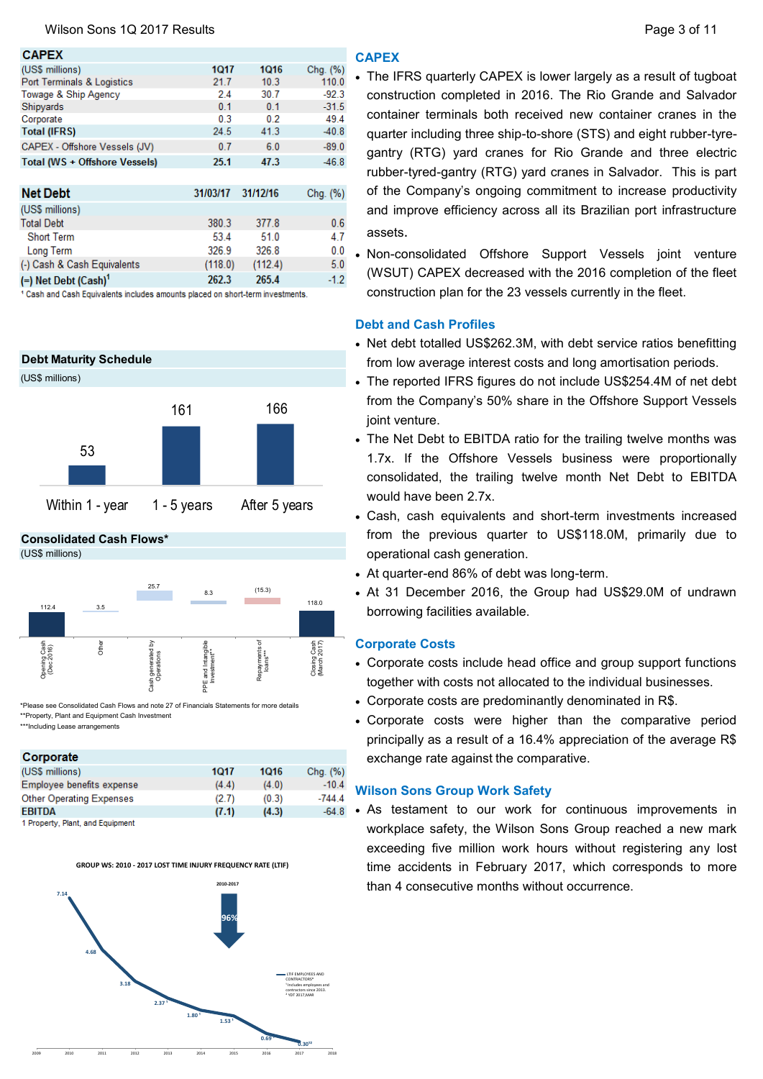| <b>CAPEX</b>                       |          |          |          |
|------------------------------------|----------|----------|----------|
| (US\$ millions)                    | 1017     | 1016     | Chg. (%) |
| Port Terminals & Logistics         | 21.7     | 10.3     | 110.0    |
| Towage & Ship Agency               | 2.4      | 30.7     | $-92.3$  |
| Shipyards                          | 0.1      | 0.1      | $-31.5$  |
| Corporate                          | 0.3      | 0.2      | 49.4     |
| <b>Total (IFRS)</b>                | 24.5     | 41.3     | $-40.8$  |
| CAPEX - Offshore Vessels (JV)      | 0.7      | 6.0      | $-89.0$  |
| Total (WS + Offshore Vessels)      | 25.1     | 47.3     | $-46.8$  |
|                                    |          |          |          |
| <b>Net Debt</b>                    | 31/03/17 | 31/12/16 | Chg. (%) |
| (US\$ millions)                    |          |          |          |
| <b>Total Debt</b>                  | 380.3    | 377.8    | 0.6      |
| <b>Short Term</b>                  | 53.4     | 51.0     | 4.7      |
| <b>Long Term</b>                   | 326.9    | 326.8    | 0.0      |
| (-) Cash & Cash Equivalents        | (118.0)  | (112.4)  | 5.0      |
| $(=)$ Net Debt (Cash) <sup>1</sup> | 262.3    | 265.4    | $-1.2$   |
|                                    |          |          |          |

<sup>1</sup> Cash and Cash Equivalents includes amounts placed on short-term investments.



**Consolidated Cash Flows\*** 41.9





\*\*\*Including Lease arrangements \*Please see Consolidated Cash Flows and note 27 of Financials Statements for more details \*\*Property, Plant and Equipment Cash Investment

## Cornorate

| corporate                        |       |       |          |
|----------------------------------|-------|-------|----------|
| (US\$ millions)                  | 1017  | 1016  | Chg. (%) |
| Employee benefits expense        | (4.4) | (4.0) | $-10.4$  |
| <b>Other Operating Expenses</b>  | (2.7) | (0.3) | $-744.4$ |
| <b>EBITDA</b>                    | (7.1) | (4.3) | $-64.8$  |
| 1 Property, Plant, and Equipment |       |       |          |

## **GROUP WS: 2010 - 2017 LOST TIME INJURY FREQUENCY RATE (LTIF)**



## **CAPEX**

- The IFRS quarterly CAPEX is lower largely as a result of tugboat construction completed in 2016. The Rio Grande and Salvador container terminals both received new container cranes in the quarter including three ship-to-shore (STS) and eight rubber-tyregantry (RTG) yard cranes for Rio Grande and three electric rubber-tyred-gantry (RTG) yard cranes in Salvador. This is part of the Company's ongoing commitment to increase productivity and improve efficiency across all its Brazilian port infrastructure assets.
- Non-consolidated Offshore Support Vessels joint venture (WSUT) CAPEX decreased with the 2016 completion of the fleet construction plan for the 23 vessels currently in the fleet.

## **Debt and Cash Profiles**

- Net debt totalled US\$262.3M, with debt service ratios benefitting from low average interest costs and long amortisation periods.
- The reported IFRS figures do not include US\$254.4M of net debt from the Company's 50% share in the Offshore Support Vessels joint venture.
- The Net Debt to EBITDA ratio for the trailing twelve months was 1.7x. If the Offshore Vessels business were proportionally consolidated, the trailing twelve month Net Debt to EBITDA would have been 2.7x.
- Cash, cash equivalents and short-term investments increased from the previous quarter to US\$118.0M, primarily due to operational cash generation.
- At quarter-end 86% of debt was long-term. **114.9**
- At 31 December 2016, the Group had US\$29.0M of undrawn borrowing facilities available.

## **Corporate Costs** 4.7

- Corporate costs include head office and group support functions together with costs not allocated to the individual businesses.
- Corporate costs are predominantly denominated in R\$.
- Corporate costs were higher than the comparative period principally as a result of a 16.4% appreciation of the average R\$ exchange rate against the comparative.

## **Wilson Sons Group Work Safety**

 As testament to our work for continuous improvements in workplace safety, the Wilson Sons Group reached a new mark exceeding five million work hours without registering any lost time accidents in February 2017, which corresponds to more than 4 consecutive months without occurrence.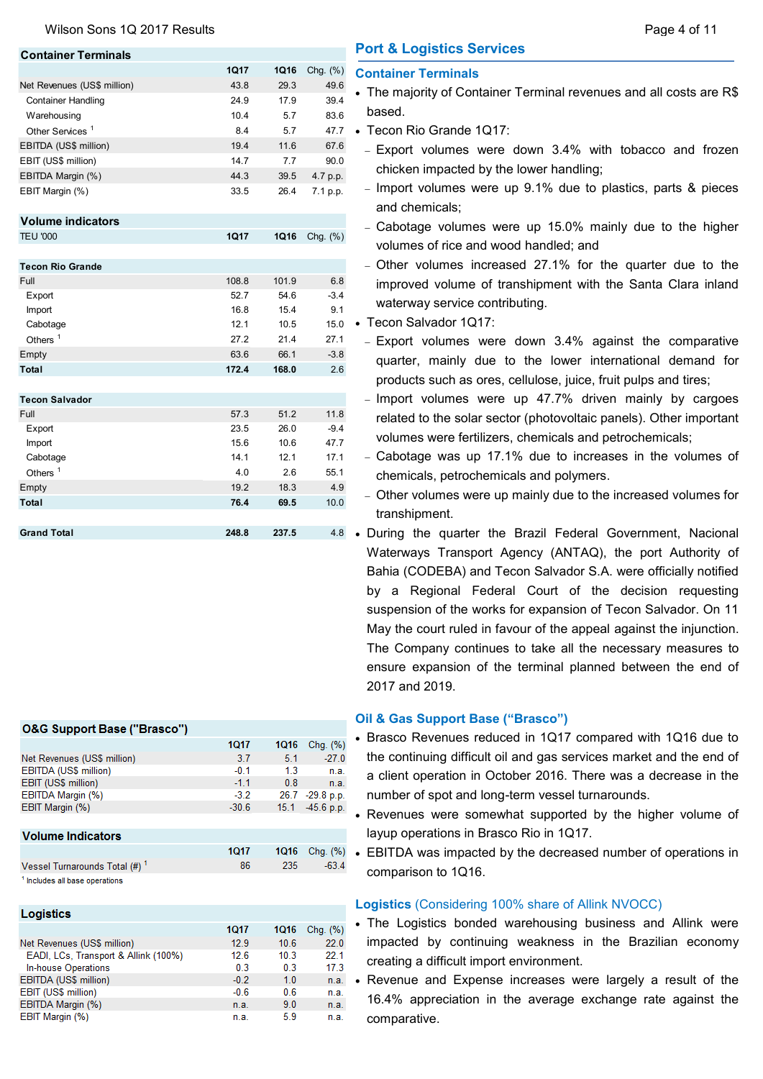Wilson Sons 1Q 2017 Results **Page 4 of 11** Nilson Sons 1Q 2017 Results

| <b>Container Terminals</b>  |             |      |             |
|-----------------------------|-------------|------|-------------|
|                             | <b>1Q17</b> | 1Q16 | Chg. $(\%)$ |
| Net Revenues (US\$ million) | 43.8        | 29.3 | 49.6        |
| <b>Container Handling</b>   | 24.9        | 17.9 | 39.4        |
| Warehousing                 | 10.4        | 5.7  | 83.6        |
| Other Services <sup>1</sup> | 8.4         | 5.7  | 47.7        |
| EBITDA (US\$ million)       | 19.4        | 11.6 | 67.6        |
| EBIT (US\$ million)         | 14.7        | 77   | 90.0        |
| EBITDA Margin (%)           | 44.3        | 39.5 | 4.7 p.p.    |
| EBIT Margin (%)             | 33.5        | 26.4 | 7.1 p.p.    |

**Volume indicators** TEU '000 **1Q17 1Q16** Chg. (%)

| <b>Tecon Rio Grande</b> |       |       |        |
|-------------------------|-------|-------|--------|
| Full                    | 108.8 | 101.9 | 6.8    |
| Export                  | 52.7  | 54.6  | $-3.4$ |
| <b>Import</b>           | 16.8  | 15.4  | 9.1    |
| Cabotage                | 12.1  | 10.5  | 15.0   |
| Others $1$              | 27.2  | 21.4  | 27.1   |
| Empty                   | 63.6  | 66.1  | $-3.8$ |
| Total                   | 172.4 | 168.0 | 2.6    |
|                         |       |       |        |
| <b>Tecon Salvador</b>   |       |       |        |
| Full                    | 57.3  | 51.2  | 11.8   |
| Export                  | 23.5  | 26.0  | $-9.4$ |
| <b>Import</b>           | 15.6  | 10.6  | 47.7   |
| Cabotage                | 14.1  | 12.1  | 17.1   |
| Others $1$              | 4.0   | 2.6   | 55.1   |
| Empty                   | 19.2  | 18.3  | 4.9    |
| Total                   | 76.4  | 69.5  | 10.0   |
|                         |       |       |        |
| <b>Grand Total</b>      | 248.8 | 237.5 | 48     |

## **O&G Support Base ("Brasco")**

|                             | 1017    | <b>1Q16</b> | Chg. (%)        |
|-----------------------------|---------|-------------|-----------------|
| Net Revenues (US\$ million) | 3.7     | 5.1         | $-27.0$         |
| EBITDA (US\$ million)       | $-0.1$  | 1.3         | n.a.            |
| EBIT (US\$ million)         | $-1.1$  | 0.8         | n.a.            |
| EBITDA Margin (%)           | $-3.2$  |             | 26.7 -29.8 p.p. |
| EBIT Margin (%)             | $-30.6$ | 15.1        | $-45.6$ p.p.    |
|                             |         |             |                 |

## **Volume Indicators**

#### **1Q17 1Q16** Vessel Turnarounds Total (#)<sup>1</sup> 86 235 <sup>1</sup> Includes all base operations

| Logistics                            |        |      |          |
|--------------------------------------|--------|------|----------|
|                                      | 1017   | 1016 | Chq. (%) |
| Net Revenues (US\$ million)          | 12.9   | 10.6 | 22.0     |
| EADI, LCs, Transport & Allink (100%) | 12.6   | 10.3 | 22.1     |
| In-house Operations                  | 0.3    | 0.3  | 17.3     |
| EBITDA (US\$ million)                | $-0.2$ | 1.0  | n.a.     |
| EBIT (US\$ million)                  | $-0.6$ | 0.6  | n.a.     |
| EBITDA Margin (%)                    | n.a.   | 9.0  | n.a.     |
| EBIT Margin (%)                      | n.a.   | 5.9  | n.a.     |

# **Port & Logistics Services**

## **Container Terminals**

- The majority of Container Terminal revenues and all costs are R\$ based.
- Tecon Rio Grande 1Q17:
- Export volumes were down 3.4% with tobacco and frozen chicken impacted by the lower handling;
- Import volumes were up 9.1% due to plastics, parts & pieces and chemicals;
- Cabotage volumes were up 15.0% mainly due to the higher volumes of rice and wood handled; and
- Other volumes increased 27.1% for the quarter due to the improved volume of transhipment with the Santa Clara inland waterway service contributing.
- Tecon Salvador 1Q17:
	- Export volumes were down 3.4% against the comparative quarter, mainly due to the lower international demand for products such as ores, cellulose, juice, fruit pulps and tires;
	- $-$  Import volumes were up 47.7% driven mainly by cargoes related to the solar sector (photovoltaic panels). Other important volumes were fertilizers, chemicals and petrochemicals;
	- Cabotage was up 17.1% due to increases in the volumes of chemicals, petrochemicals and polymers.
- Other volumes were up mainly due to the increased volumes for transhipment.
- 4.8 During the quarter the Brazil Federal Government, Nacional Waterways Transport Agency (ANTAQ), the port Authority of Bahia (CODEBA) and Tecon Salvador S.A. were officially notified by a Regional Federal Court of the decision requesting suspension of the works for expansion of Tecon Salvador. On 11 May the court ruled in favour of the appeal against the injunction. The Company continues to take all the necessary measures to ensure expansion of the terminal planned between the end of 2017 and 2019.

## **Oil & Gas Support Base ("Brasco")**

 $-63.4$ 

- Brasco Revenues reduced in 1Q17 compared with 1Q16 due to the continuing difficult oil and gas services market and the end of a client operation in October 2016. There was a decrease in the number of spot and long-term vessel turnarounds.
- Revenues were somewhat supported by the higher volume of layup operations in Brasco Rio in 1Q17.
- Chg.  $%$   $\bullet$  EBITDA was impacted by the decreased number of operations in comparison to 1Q16.

## **Logistics** (Considering 100% share of Allink NVOCC)

- The Logistics bonded warehousing business and Allink were impacted by continuing weakness in the Brazilian economy creating a difficult import environment.
- Revenue and Expense increases were largely a result of the 16.4% appreciation in the average exchange rate against the comparative.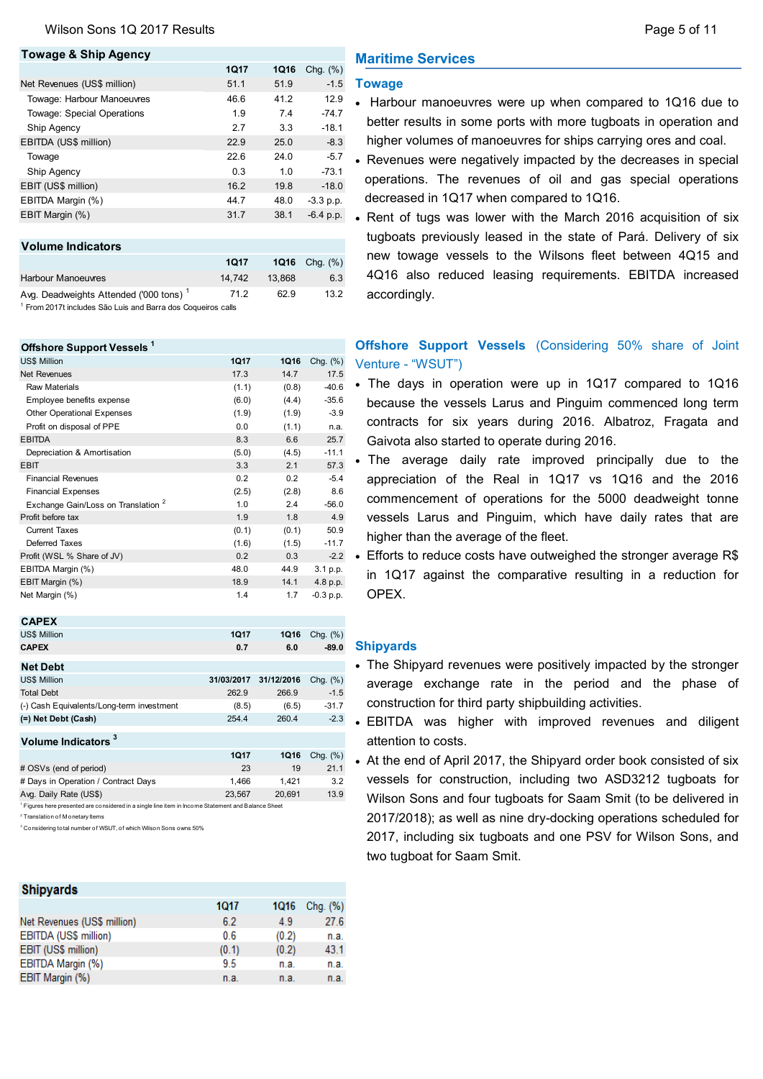### **Towage & Ship Agency**

**Offshore Support Vessels <sup>1</sup>**

|                                                                                                                               | <b>1Q17</b> | <b>1Q16</b> | Chg. $(\%)$ |
|-------------------------------------------------------------------------------------------------------------------------------|-------------|-------------|-------------|
| Net Revenues (US\$ million)                                                                                                   | 51.1        | 51.9        | $-1.5$      |
| Towage: Harbour Manoeuvres                                                                                                    | 46.6        | 41.2        | 12.9        |
| Towage: Special Operations                                                                                                    | 1.9         | 7.4         | $-74.7$     |
| Ship Agency                                                                                                                   | 2.7         | 3.3         | $-18.1$     |
| EBITDA (US\$ million)                                                                                                         | 22.9        | 25.0        | $-8.3$      |
| Towage                                                                                                                        | 22.6        | 24.0        | $-5.7$      |
| Ship Agency                                                                                                                   | 0.3         | 1.0         | $-73.1$     |
| EBIT (US\$ million)                                                                                                           | 16.2        | 19.8        | $-18.0$     |
| EBITDA Margin (%)                                                                                                             | 44.7        | 48.0        | $-3.3$ p.p. |
| EBIT Margin (%)                                                                                                               | 31.7        | 38.1        | $-6.4$ p.p. |
|                                                                                                                               |             |             |             |
| <b>Volume Indicators</b>                                                                                                      |             |             |             |
|                                                                                                                               | <b>1Q17</b> | 1Q16        | Chg. $(\%)$ |
| <b>Harbour Manoeuvres</b>                                                                                                     | 14,742      | 13,868      | 6.3         |
| Avg. Deadweights Attended ('000 tons) <sup>1</sup><br><sup>1</sup> From 2017t includes São Luis and Barra dos Coqueiros calls | 71.2        | 62.9        | 13.2        |

### US\$ Million **1Q17 1Q16** Chg. (%) **Net Revenues 17.3 14.7 17.5** Raw Materials (1.1) (0.8) -40.6 Employee benefits expense (6.0) (4.4) -35.6 Other Operational Expenses (1.9) (1.9) -3.9 Profit on disposal of PPE 0.0 (1.1) n.a. EBITDA 8.3 6.6 25.7 Depreciation & Amortisation (5.0) (4.5) -11.1 EBIT 3.3 2.1 57.3 Financial Revenues 0.2 0.2 -5.4 Financial Expenses (2.5) (2.8) 8.6 Exchange Gain/Loss on Translation <sup>2</sup> 1.0 2.4 -56.0 Profit before tax 1.9 1.8 4.9 Current Taxes (0.1) (0.1) 50.9 Deferred Taxes (1.6) (1.5) -11.7 Profit (WSL % Share of JV) 0.2 0.3 -2.2 EBITDA Margin (%) 48.0 44.9 3.1 p.p.

| <b>CAPEX</b>                                                                                                                                                 |            |            |             |
|--------------------------------------------------------------------------------------------------------------------------------------------------------------|------------|------------|-------------|
| <b>US\$ Million</b>                                                                                                                                          | 1017       | 1Q16       | Chq. $(\%)$ |
| <b>CAPEX</b>                                                                                                                                                 | 0.7        | 6.0        | $-89.0$     |
| <b>Net Debt</b>                                                                                                                                              |            |            |             |
| <b>US\$ Million</b>                                                                                                                                          | 31/03/2017 | 31/12/2016 | Chg. $(\%)$ |
| <b>Total Debt</b>                                                                                                                                            | 262.9      | 266.9      | $-1.5$      |
| (-) Cash Equivalents/Long-term investment                                                                                                                    | (8.5)      | (6.5)      | $-31.7$     |
| (=) Net Debt (Cash)                                                                                                                                          | 254.4      | 260.4      | $-2.3$      |
| Volume Indicators <sup>3</sup>                                                                                                                               |            |            |             |
|                                                                                                                                                              | 1017       | 1Q16       | Chq. $(\%)$ |
| # OSVs (end of period)                                                                                                                                       | 23         | 19         | 21.1        |
| # Days in Operation / Contract Days                                                                                                                          | 1.466      | 1.421      | 3.2         |
| Avg. Daily Rate (US\$)                                                                                                                                       | 23,567     | 20,691     | 13.9        |
| <sup>1</sup> Figures here presented are considered in a single line item in Income Statement and Balance Sheet<br><sup>2</sup> Translation of Monetary Items |            |            |             |

EBIT Margin (%) 18.9 14.1 4.8 p.p. Net Margin (%) 1.4 1.7 -0.3 p.p.

3 Considering total number of WSUT, of which Wilson Sons owns 50%

#### **Shipyards** 1017 1Q16 Chg. (%) Net Revenues (US\$ million) 6.2 4.9 27.6 EBITDA (US\$ million)  $0.6$  $(0.2)$ n a EBIT (US\$ million)  $(0.1)$  $(0.2)$ 43.1 EBITDA Margin (%) 95 n a n a EBIT Margin (%) n.a. n.a.  $n.a.$

## **Maritime Services**

## **Towage**

- Harbour manoeuvres were up when compared to 1Q16 due to better results in some ports with more tugboats in operation and higher volumes of manoeuvres for ships carrying ores and coal.
- Revenues were negatively impacted by the decreases in special operations. The revenues of oil and gas special operations decreased in 1Q17 when compared to 1Q16.
- Rent of tugs was lower with the March 2016 acquisition of six tugboats previously leased in the state of Pará. Delivery of six new towage vessels to the Wilsons fleet between 4Q15 and 4Q16 also reduced leasing requirements. EBITDA increased accordingly.

## **Offshore Support Vessels** (Considering 50% share of Joint Venture - "WSUT")

- The days in operation were up in 1Q17 compared to 1Q16 because the vessels Larus and Pinguim commenced long term contracts for six years during 2016. Albatroz, Fragata and Gaivota also started to operate during 2016.
- The average daily rate improved principally due to the appreciation of the Real in 1Q17 vs 1Q16 and the 2016 commencement of operations for the 5000 deadweight tonne vessels Larus and Pinguim, which have daily rates that are higher than the average of the fleet.
- Efforts to reduce costs have outweighed the stronger average R\$ in 1Q17 against the comparative resulting in a reduction for OPEX.

## **Shipyards**

- The Shipyard revenues were positively impacted by the stronger average exchange rate in the period and the phase of construction for third party shipbuilding activities.
- EBITDA was higher with improved revenues and diligent attention to costs.
- At the end of April 2017, the Shipyard order book consisted of six vessels for construction, including two ASD3212 tugboats for Wilson Sons and four tugboats for Saam Smit (to be delivered in 2017/2018); as well as nine dry-docking operations scheduled for 2017, including six tugboats and one PSV for Wilson Sons, and two tugboat for Saam Smit.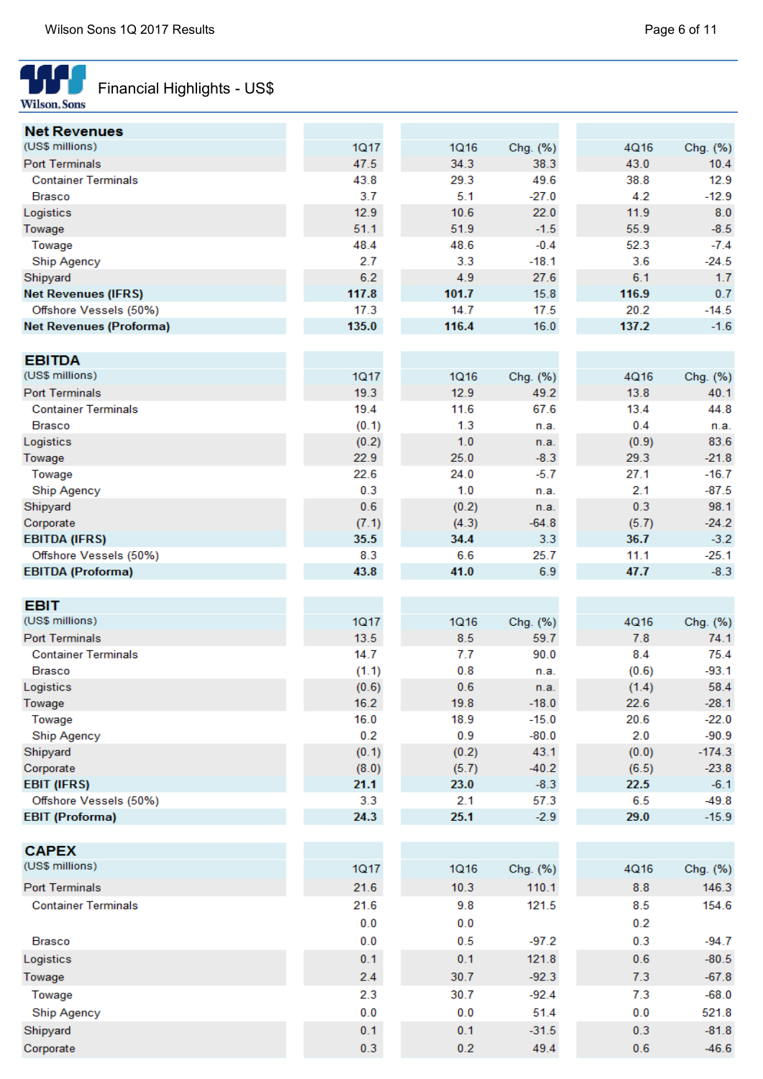

# Financial Highlights - US\$

| <b>Net Revenues</b>            |       |             |          |       |              |
|--------------------------------|-------|-------------|----------|-------|--------------|
| (US\$ millions)                | 1Q17  | 1Q16        | Chg. (%) | 4Q16  | Chg. (%)     |
| <b>Port Terminals</b>          | 47.5  | 34.3        | 38.3     | 43.0  | 10.4         |
| <b>Container Terminals</b>     | 43.8  | 29.3        | 49.6     | 38.8  | 12.9         |
| <b>Brasco</b>                  | 3.7   | 5.1         | $-27.0$  | 4.2   | $-12.9$      |
| Logistics                      | 12.9  | 10.6        | 22.0     | 11.9  | 8.0          |
| Towage                         | 51.1  | 51.9        | $-1.5$   | 55.9  | $-8.5$       |
| Towage                         | 48.4  | 48.6        | $-0.4$   | 52.3  | $-7.4$       |
| Ship Agency                    | 2.7   | 3.3         | $-18.1$  | 3.6   | $-24.5$      |
| Shipyard                       | 6.2   | 4.9         | 27.6     | 6.1   | 1.7          |
| <b>Net Revenues (IFRS)</b>     | 117.8 | 101.7       | 15.8     | 116.9 | 0.7          |
| Offshore Vessels (50%)         | 17.3  | 14.7        | 17.5     | 20.2  | $-14.5$      |
| <b>Net Revenues (Proforma)</b> | 135.0 | 116.4       | 16.0     | 137.2 | $-1.6$       |
|                                |       |             |          |       |              |
| <b>EBITDA</b>                  |       |             |          |       |              |
| (US\$ millions)                | 1Q17  | <b>1Q16</b> | Chg. (%) | 4Q16  | Chg. (%)     |
| <b>Port Terminals</b>          | 19.3  | 12.9        | 49.2     | 13.8  | 40.1         |
| <b>Container Terminals</b>     | 19.4  | 11.6        | 67.6     | 13.4  | 44.8         |
| <b>Brasco</b>                  | (0.1) | 1.3         | n.a.     | 0.4   |              |
| Logistics                      | (0.2) | 1.0         |          | (0.9) | n.a.<br>83.6 |
|                                |       |             | n.a.     |       |              |
| Towage                         | 22.9  | 25.0        | $-8.3$   | 29.3  | $-21.8$      |
| Towage                         | 22.6  | 24.0        | $-5.7$   | 27.1  | $-16.7$      |
| <b>Ship Agency</b>             | 0.3   | 1.0         | n.a.     | 2.1   | $-87.5$      |
| Shipyard                       | 0.6   | (0.2)       | n.a.     | 0.3   | 98.1         |
| Corporate                      | (7.1) | (4.3)       | $-64.8$  | (5.7) | $-24.2$      |
| <b>EBITDA (IFRS)</b>           | 35.5  | 34.4        | 3.3      | 36.7  | $-3.2$       |
| Offshore Vessels (50%)         | 8.3   | 6.6         | 25.7     | 11.1  | $-25.1$      |
| <b>EBITDA (Proforma)</b>       | 43.8  | 41.0        | 6.9      | 47.7  | $-8.3$       |
|                                |       |             |          |       |              |
| <b>EBIT</b>                    |       |             |          |       |              |
| (US\$ millions)                | 1Q17  | <b>1Q16</b> | Chg. (%) | 4Q16  | Chg. (%)     |
| <b>Port Terminals</b>          | 13.5  | 8.5         | 59.7     | 7.8   | 74.1         |
| <b>Container Terminals</b>     | 14.7  | 7.7         | 90.0     | 8.4   | 75.4         |
| <b>Brasco</b>                  | (1.1) | 0.8         | n.a.     | (0.6) | $-93.1$      |
| Logistics                      | (0.6) | 0.6         | n.a.     | (1.4) | 58.4         |
| Towage                         | 16.2  | 19.8        | $-18.0$  | 22.6  | $-28.1$      |
| Towage                         | 16.0  | 18.9        | $-15.0$  | 20.6  | $-22.0$      |
| <b>Ship Agency</b>             | 0.2   | 0.9         | $-80.0$  | 2.0   | $-90.9$      |
| Shipyard                       | (0.1) | (0.2)       | 43.1     | (0.0) | $-174.3$     |
| Corporate                      | (8.0) | (5.7)       | $-40.2$  | (6.5) | $-23.8$      |
| <b>EBIT (IFRS)</b>             | 21.1  | 23.0        | $-8.3$   | 22.5  | $-6.1$       |
| Offshore Vessels (50%)         | 3.3   | 2.1         | 57.3     | 6.5   | $-49.8$      |
| <b>EBIT (Proforma)</b>         | 24.3  | 25.1        | $-2.9$   | 29.0  | $-15.9$      |
|                                |       |             |          |       |              |
| <b>CAPEX</b>                   |       |             |          |       |              |
| (US\$ millions)                | 1Q17  | <b>1Q16</b> | Chg. (%) | 4Q16  | Chg. (%)     |
| <b>Port Terminals</b>          | 21.6  | 10.3        | 110.1    | 8.8   | 146.3        |
| <b>Container Terminals</b>     | 21.6  | 9.8         | 121.5    | 8.5   | 154.6        |
|                                |       |             |          |       |              |
|                                | 0.0   | 0.0         |          | 0.2   |              |
| <b>Brasco</b>                  | 0.0   | 0.5         | $-97.2$  | 0.3   | $-94.7$      |
| Logistics                      | 0.1   | 0.1         | 121.8    | 0.6   | $-80.5$      |
| Towage                         | 2.4   | 30.7        | $-92.3$  | 7.3   | $-67.8$      |
| Towage                         | 2.3   | 30.7        | $-92.4$  | 7.3   | $-68.0$      |
| <b>Ship Agency</b>             | 0.0   | 0.0         | 51.4     | 0.0   | 521.8        |
| Shipyard                       | 0.1   | 0.1         | $-31.5$  | 0.3   | $-81.8$      |
| Corporate                      | 0.3   | 0.2         | 49.4     | 0.6   | $-46.6$      |
|                                |       |             |          |       |              |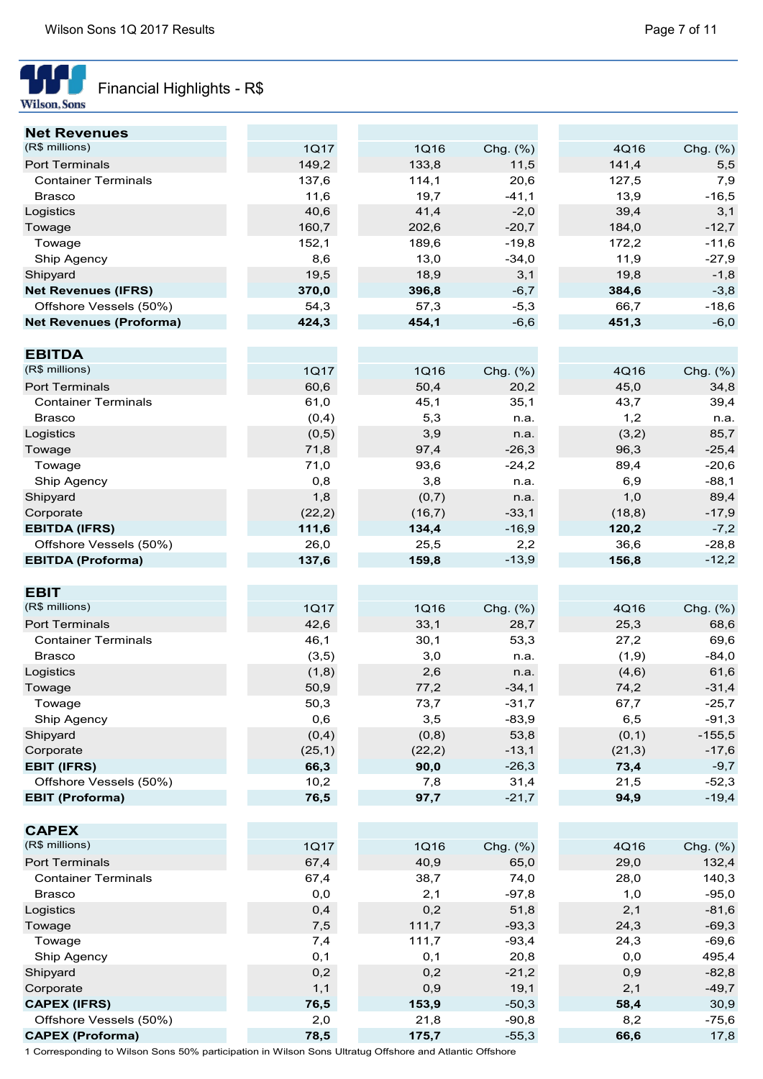

# Financial Highlights - R\$

| <b>Net Revenues</b>            |         |        |          |         |          |
|--------------------------------|---------|--------|----------|---------|----------|
| (R\$ millions)                 | 1Q17    | 1Q16   | Chg. (%) | 4Q16    | Chg. (%) |
| Port Terminals                 | 149,2   | 133,8  | 11,5     | 141,4   | 5,5      |
| <b>Container Terminals</b>     | 137,6   | 114,1  | 20,6     | 127,5   | 7,9      |
| <b>Brasco</b>                  | 11,6    | 19,7   | $-41,1$  | 13,9    | $-16,5$  |
| Logistics                      | 40,6    | 41,4   | $-2,0$   | 39,4    | 3,1      |
| Towage                         | 160,7   | 202,6  | $-20,7$  | 184,0   | $-12,7$  |
| Towage                         | 152,1   | 189,6  | $-19,8$  | 172,2   | $-11,6$  |
| Ship Agency                    | 8,6     | 13,0   | $-34,0$  | 11,9    | $-27,9$  |
| Shipyard                       | 19,5    | 18,9   | 3,1      | 19,8    | $-1,8$   |
| <b>Net Revenues (IFRS)</b>     | 370,0   | 396,8  | $-6,7$   | 384,6   | $-3,8$   |
| Offshore Vessels (50%)         | 54,3    | 57,3   | $-5,3$   | 66,7    | $-18,6$  |
| <b>Net Revenues (Proforma)</b> | 424,3   | 454,1  | $-6,6$   | 451,3   | $-6,0$   |
|                                |         |        |          |         |          |
| <b>EBITDA</b>                  |         |        |          |         |          |
| (R\$ millions)                 | 1Q17    | 1Q16   | Chg. (%) | 4Q16    | Chg. (%) |
| <b>Port Terminals</b>          | 60,6    | 50,4   | 20,2     | 45,0    | 34,8     |
| <b>Container Terminals</b>     | 61,0    | 45,1   | 35,1     | 43,7    | 39,4     |
| <b>Brasco</b>                  |         | 5,3    |          | 1,2     |          |
|                                | (0,4)   |        | n.a.     |         | n.a.     |
| Logistics                      | (0,5)   | 3,9    | n.a.     | (3,2)   | 85,7     |
| Towage                         | 71,8    | 97,4   | $-26,3$  | 96,3    | $-25,4$  |
| Towage                         | 71,0    | 93,6   | $-24,2$  | 89,4    | $-20,6$  |
| Ship Agency                    | 0,8     | 3,8    | n.a.     | 6,9     | $-88,1$  |
| Shipyard                       | 1,8     | (0,7)  | n.a.     | 1,0     | 89,4     |
| Corporate                      | (22, 2) | (16,7) | $-33,1$  | (18, 8) | $-17,9$  |
| <b>EBITDA (IFRS)</b>           | 111,6   | 134,4  | $-16,9$  | 120,2   | $-7,2$   |
| Offshore Vessels (50%)         | 26,0    | 25,5   | 2,2      | 36,6    | $-28,8$  |
| <b>EBITDA (Proforma)</b>       | 137,6   | 159,8  | $-13,9$  | 156,8   | $-12,2$  |
| <b>EBIT</b>                    |         |        |          |         |          |
| (R\$ millions)                 |         |        |          |         |          |
|                                | 1Q17    | 1Q16   | Chg. (%) | 4Q16    | Chg. (%) |
| Port Terminals                 | 42,6    | 33,1   | 28,7     | 25,3    | 68,6     |
| <b>Container Terminals</b>     | 46,1    | 30,1   | 53,3     | 27,2    | 69,6     |
| <b>Brasco</b>                  | (3,5)   | 3,0    | n.a.     | (1, 9)  | $-84,0$  |
| Logistics                      | (1,8)   | 2,6    | n.a.     | (4,6)   | 61,6     |
| Towage                         | 50,9    | 77,2   | $-34,1$  | 74,2    | $-31,4$  |
| I owage                        | 50,3    | 73,7   | $-31,7$  | 67,7    | -25,7    |
| Ship Agency                    | 0,6     | 3,5    | $-83,9$  | 6,5     | $-91,3$  |
| Shipyard                       | (0,4)   | (0, 8) | 53,8     | (0,1)   | $-155,5$ |
| Corporate                      | (25, 1) | (22,2) | $-13,1$  | (21, 3) | $-17,6$  |
| <b>EBIT (IFRS)</b>             | 66,3    | 90,0   | $-26,3$  | 73,4    | $-9,7$   |
| Offshore Vessels (50%)         | 10,2    | 7,8    | 31,4     | 21,5    | $-52,3$  |
| <b>EBIT (Proforma)</b>         | 76,5    | 97,7   | $-21,7$  | 94,9    | $-19,4$  |
|                                |         |        |          |         |          |
| <b>CAPEX</b><br>(R\$ millions) |         |        |          |         |          |
|                                | 1Q17    | 1Q16   | Chg. (%) | 4Q16    | Chg. (%) |
| Port Terminals                 | 67,4    | 40,9   | 65,0     | 29,0    | 132,4    |
| <b>Container Terminals</b>     | 67,4    | 38,7   | 74,0     | 28,0    | 140,3    |
| <b>Brasco</b>                  | $0,0$   | 2,1    | $-97,8$  | 1,0     | $-95,0$  |
| Logistics                      | 0,4     | 0,2    | 51,8     | 2,1     | $-81,6$  |
| Towage                         | 7,5     | 111,7  | $-93,3$  | 24,3    | $-69,3$  |
| Towage                         | 7,4     | 111,7  | $-93,4$  | 24,3    | $-69,6$  |
| Ship Agency                    | 0,1     | 0,1    | 20,8     | 0,0     | 495,4    |
| Shipyard                       | 0,2     | 0,2    | $-21,2$  | 0,9     | $-82,8$  |
| Corporate                      | 1,1     | 0,9    | 19,1     | 2,1     | $-49,7$  |
| <b>CAPEX (IFRS)</b>            | 76,5    | 153,9  | $-50,3$  | 58,4    | 30,9     |
| Offshore Vessels (50%)         | 2,0     | 21,8   | $-90,8$  | 8,2     | $-75,6$  |
| <b>CAPEX (Proforma)</b>        | 78,5    | 175,7  | $-55,3$  | 66,6    | 17,8     |

1 Corresponding to Wilson Sons 50% participation in Wilson Sons Ultratug Offshore and Atlantic Offshore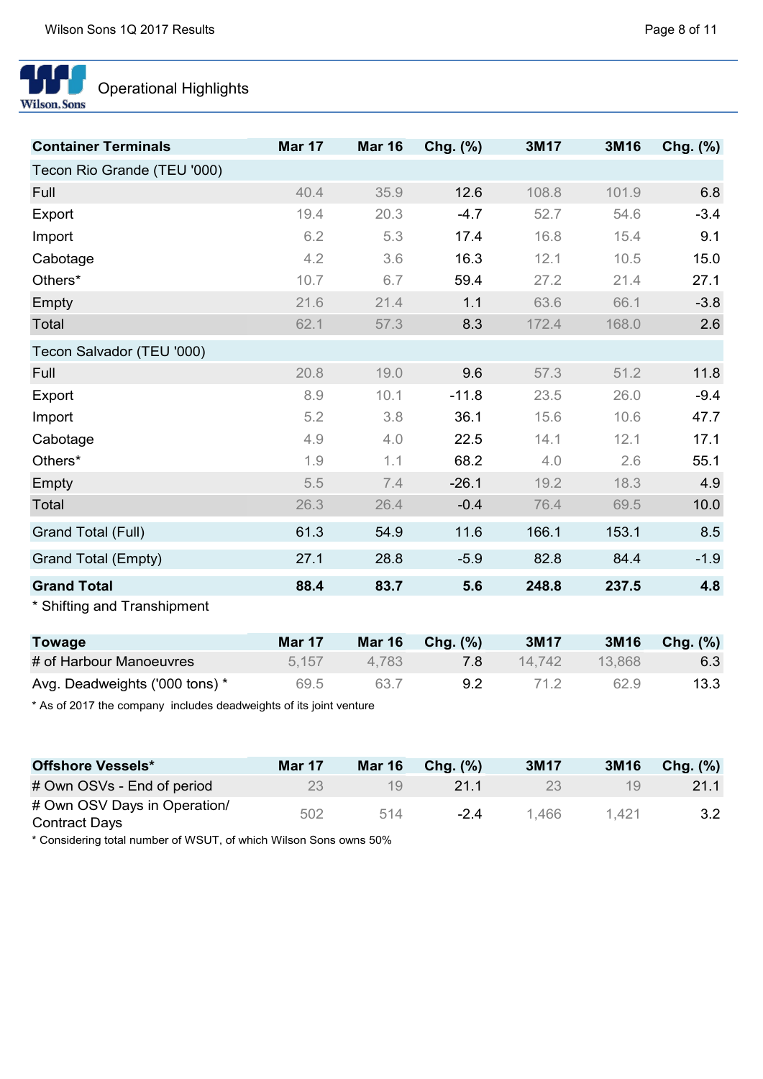

# Operational Highlights

| <b>Container Terminals</b>     | <b>Mar 17</b> | <b>Mar 16</b> | $Chg.$ $(\%)$ | 3M17   | 3M16   | Chg. (%) |
|--------------------------------|---------------|---------------|---------------|--------|--------|----------|
| Tecon Rio Grande (TEU '000)    |               |               |               |        |        |          |
| Full                           | 40.4          | 35.9          | 12.6          | 108.8  | 101.9  | 6.8      |
| Export                         | 19.4          | 20.3          | $-4.7$        | 52.7   | 54.6   | $-3.4$   |
| Import                         | 6.2           | 5.3           | 17.4          | 16.8   | 15.4   | 9.1      |
| Cabotage                       | 4.2           | 3.6           | 16.3          | 12.1   | 10.5   | 15.0     |
| Others*                        | 10.7          | 6.7           | 59.4          | 27.2   | 21.4   | 27.1     |
| Empty                          | 21.6          | 21.4          | 1.1           | 63.6   | 66.1   | $-3.8$   |
| Total                          | 62.1          | 57.3          | 8.3           | 172.4  | 168.0  | 2.6      |
| Tecon Salvador (TEU '000)      |               |               |               |        |        |          |
| Full                           | 20.8          | 19.0          | 9.6           | 57.3   | 51.2   | 11.8     |
| Export                         | 8.9           | 10.1          | $-11.8$       | 23.5   | 26.0   | $-9.4$   |
| Import                         | 5.2           | 3.8           | 36.1          | 15.6   | 10.6   | 47.7     |
| Cabotage                       | 4.9           | 4.0           | 22.5          | 14.1   | 12.1   | 17.1     |
| Others*                        | 1.9           | 1.1           | 68.2          | 4.0    | 2.6    | 55.1     |
| Empty                          | 5.5           | 7.4           | $-26.1$       | 19.2   | 18.3   | 4.9      |
| Total                          | 26.3          | 26.4          | $-0.4$        | 76.4   | 69.5   | 10.0     |
| Grand Total (Full)             | 61.3          | 54.9          | 11.6          | 166.1  | 153.1  | 8.5      |
| Grand Total (Empty)            | 27.1          | 28.8          | $-5.9$        | 82.8   | 84.4   | $-1.9$   |
| <b>Grand Total</b>             | 88.4          | 83.7          | 5.6           | 248.8  | 237.5  | 4.8      |
| * Shifting and Transhipment    |               |               |               |        |        |          |
| <b>Towage</b>                  | <b>Mar 17</b> | <b>Mar 16</b> | Chg. $(\%)$   | 3M17   | 3M16   | Chg. (%) |
| # of Harbour Manoeuvres        | 5,157         | 4,783         | 7.8           | 14,742 | 13,868 | 6.3      |
| Avg. Deadweights ('000 tons) * | 69.5          | 63.7          | 9.2           | 71.2   | 62.9   | 13.3     |

\* As of 2017 the company includes deadweights of its joint venture

| <b>Offshore Vessels*</b>                             | <b>Mar 17</b> | <b>Mar 16</b> | Chq. $(\%)$ | 3M17  | 3M16  | Chg. $(\%)$ |
|------------------------------------------------------|---------------|---------------|-------------|-------|-------|-------------|
| # Own OSVs - End of period                           | 23            | 19.           | 21.1        | 23    | 19    | 21.1        |
| # Own OSV Days in Operation/<br><b>Contract Days</b> | 502           | 514           | $-2.4$      | 1.466 | 1.421 | 3.2         |

\* Considering total number of WSUT, of which Wilson Sons owns 50%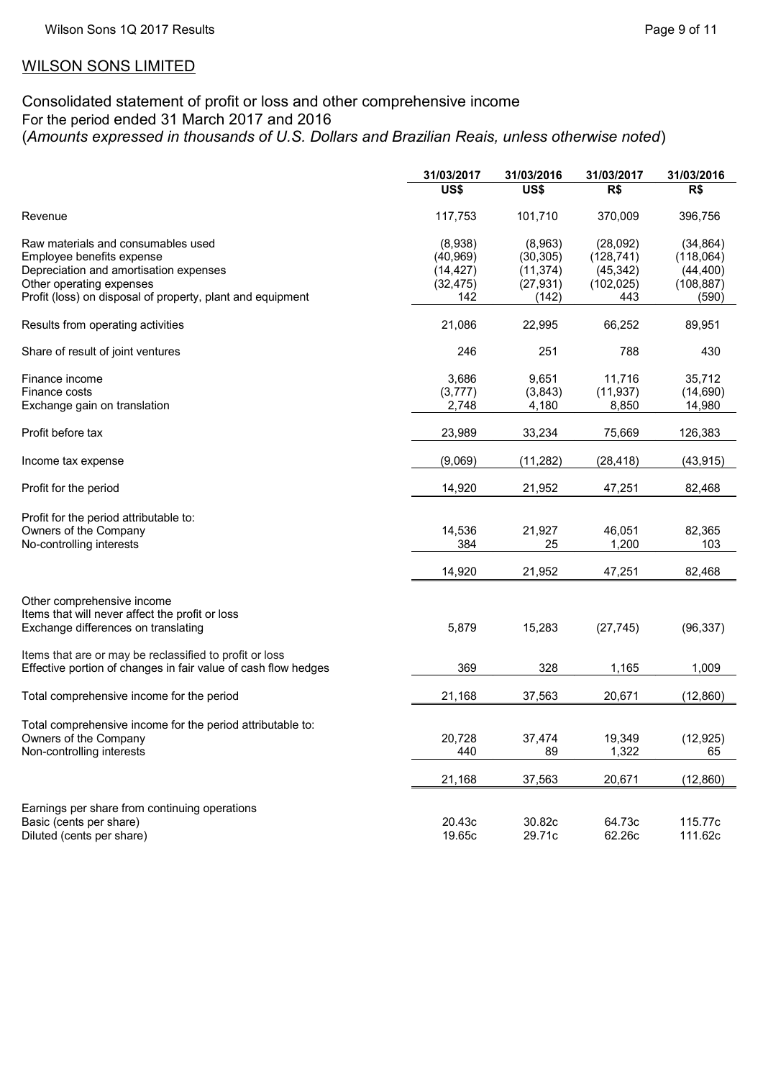## WILSON SONS LIMITED

## Consolidated statement of profit or loss and other comprehensive income For the period ended 31 March 2017 and 2016 (*Amounts expressed in thousands of U.S. Dollars and Brazilian Reais, unless otherwise noted*)

|                                                                | 31/03/2017 | 31/03/2016 | 31/03/2017 | 31/03/2016 |
|----------------------------------------------------------------|------------|------------|------------|------------|
|                                                                | US\$       | US\$       | R\$        | R\$        |
| Revenue                                                        | 117,753    | 101,710    | 370,009    | 396,756    |
| Raw materials and consumables used                             | (8,938)    | (8,963)    | (28,092)   | (34, 864)  |
| Employee benefits expense                                      | (40, 969)  | (30, 305)  | (128, 741) | (118,064)  |
| Depreciation and amortisation expenses                         | (14, 427)  | (11, 374)  | (45, 342)  | (44, 400)  |
| Other operating expenses                                       | (32, 475)  | (27, 931)  | (102, 025) | (108, 887) |
| Profit (loss) on disposal of property, plant and equipment     | 142        | (142)      | 443        | (590)      |
| Results from operating activities                              | 21,086     | 22,995     | 66,252     | 89,951     |
| Share of result of joint ventures                              | 246        | 251        | 788        | 430        |
| Finance income                                                 | 3,686      | 9,651      | 11,716     | 35,712     |
| Finance costs                                                  | (3, 777)   | (3,843)    | (11, 937)  | (14,690)   |
| Exchange gain on translation                                   | 2,748      | 4,180      | 8,850      | 14,980     |
| Profit before tax                                              | 23,989     | 33,234     | 75,669     | 126,383    |
| Income tax expense                                             | (9,069)    | (11, 282)  | (28, 418)  | (43, 915)  |
| Profit for the period                                          | 14,920     | 21,952     | 47,251     | 82,468     |
| Profit for the period attributable to:                         |            |            |            |            |
| Owners of the Company                                          | 14,536     | 21,927     | 46,051     | 82,365     |
| No-controlling interests                                       | 384        | 25         | 1,200      | 103        |
|                                                                | 14,920     | 21,952     | 47,251     | 82,468     |
| Other comprehensive income                                     |            |            |            |            |
| Items that will never affect the profit or loss                |            |            |            |            |
| Exchange differences on translating                            | 5,879      | 15,283     | (27, 745)  | (96, 337)  |
| Items that are or may be reclassified to profit or loss        |            |            |            |            |
| Effective portion of changes in fair value of cash flow hedges | 369        | 328        | 1,165      | 1,009      |
| Total comprehensive income for the period                      | 21,168     | 37,563     | 20,671     | (12, 860)  |
| Total comprehensive income for the period attributable to:     |            |            |            |            |
| Owners of the Company                                          | 20,728     | 37,474     | 19,349     | (12, 925)  |
| Non-controlling interests                                      | 440        | 89         | 1,322      | 65         |
|                                                                | 21,168     | 37,563     | 20,671     | (12, 860)  |
| Earnings per share from continuing operations                  |            |            |            |            |
| Basic (cents per share)                                        | 20.43c     | 30.82c     | 64.73c     | 115.77c    |
| Diluted (cents per share)                                      | 19.65c     | 29.71c     | 62.26c     | 111.62c    |
|                                                                |            |            |            |            |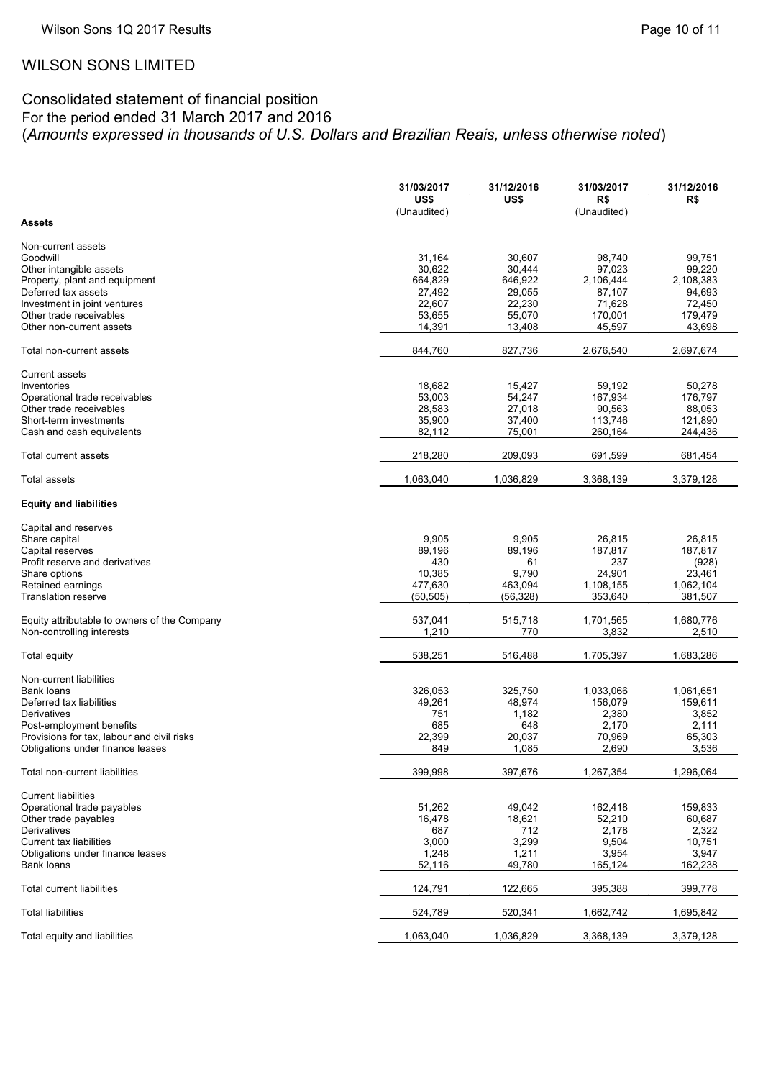# WILSON SONS LIMITED

## Consolidated statement of financial position For the period ended 31 March 2017 and 2016 (*Amounts expressed in thousands of U.S. Dollars and Brazilian Reais, unless otherwise noted*)

|                                              | 31/03/2017  | 31/12/2016 | 31/03/2017  | 31/12/2016 |
|----------------------------------------------|-------------|------------|-------------|------------|
|                                              | US\$        | US\$       | R\$         | R\$        |
|                                              | (Unaudited) |            | (Unaudited) |            |
| <b>Assets</b>                                |             |            |             |            |
|                                              |             |            |             |            |
| Non-current assets                           |             |            |             |            |
|                                              |             |            |             |            |
| Goodwill                                     | 31,164      | 30,607     | 98,740      | 99,751     |
| Other intangible assets                      | 30,622      | 30,444     | 97,023      | 99,220     |
| Property, plant and equipment                | 664,829     | 646,922    | 2,106,444   | 2,108,383  |
| Deferred tax assets                          | 27,492      | 29,055     | 87,107      | 94,693     |
| Investment in joint ventures                 | 22,607      | 22,230     | 71,628      | 72,450     |
| Other trade receivables                      | 53,655      | 55,070     | 170,001     | 179,479    |
|                                              |             |            |             |            |
| Other non-current assets                     | 14,391      | 13,408     | 45,597      | 43,698     |
|                                              |             |            |             |            |
| Total non-current assets                     | 844,760     | 827,736    | 2,676,540   | 2,697,674  |
|                                              |             |            |             |            |
| <b>Current assets</b>                        |             |            |             |            |
|                                              |             |            |             |            |
| Inventories                                  | 18,682      | 15,427     | 59,192      | 50,278     |
| Operational trade receivables                | 53,003      | 54,247     | 167,934     | 176,797    |
| Other trade receivables                      | 28,583      | 27,018     | 90,563      | 88,053     |
| Short-term investments                       | 35,900      | 37,400     | 113,746     | 121,890    |
| Cash and cash equivalents                    | 82,112      | 75,001     | 260,164     | 244,436    |
|                                              |             |            |             |            |
|                                              |             |            |             |            |
| Total current assets                         | 218,280     | 209,093    | 691,599     | 681,454    |
|                                              |             |            |             |            |
| Total assets                                 | 1,063,040   | 1,036,829  | 3,368,139   | 3,379,128  |
|                                              |             |            |             |            |
|                                              |             |            |             |            |
| <b>Equity and liabilities</b>                |             |            |             |            |
|                                              |             |            |             |            |
| Capital and reserves                         |             |            |             |            |
| Share capital                                | 9,905       | 9,905      | 26,815      | 26.815     |
| Capital reserves                             | 89,196      | 89,196     | 187,817     | 187,817    |
|                                              |             |            |             |            |
| Profit reserve and derivatives               | 430         | 61         | 237         | (928)      |
| Share options                                | 10,385      | 9,790      | 24,901      | 23,461     |
| Retained earnings                            | 477,630     | 463,094    | 1,108,155   | 1,062,104  |
| <b>Translation reserve</b>                   | (50, 505)   | (56, 328)  | 353,640     | 381,507    |
|                                              |             |            |             |            |
|                                              |             |            |             |            |
| Equity attributable to owners of the Company | 537,041     | 515,718    | 1,701,565   | 1,680,776  |
| Non-controlling interests                    | 1,210       | 770        | 3,832       | 2,510      |
|                                              |             |            |             |            |
| Total equity                                 | 538,251     | 516,488    | 1,705,397   | 1,683,286  |
|                                              |             |            |             |            |
| Non-current liabilities                      |             |            |             |            |
| Bank loans                                   | 326,053     | 325,750    | 1,033,066   | 1,061,651  |
|                                              |             |            |             |            |
| Deferred tax liabilities                     | 49,261      | 48,974     | 156,079     | 159,611    |
| Derivatives                                  | 751         | 1,182      | 2,380       | 3,852      |
| Post-employment benefits                     | 685         | 648        | 2,170       | 2,111      |
| Provisions for tax, labour and civil risks   | 22,399      | 20,037     | 70,969      | 65,303     |
|                                              |             |            | 2,690       | 3,536      |
| Obligations under finance leases             | 849         | 1,085      |             |            |
|                                              |             |            |             |            |
| Total non-current liabilities                | 399,998     | 397,676    | 1,267,354   | 1,296,064  |
|                                              |             |            |             |            |
| <b>Current liabilities</b>                   |             |            |             |            |
| Operational trade payables                   | 51,262      |            | 162,418     | 159,833    |
|                                              |             | 49,042     |             |            |
| Other trade payables                         | 16,478      | 18,621     | 52,210      | 60,687     |
| Derivatives                                  | 687         | 712        | 2,178       | 2,322      |
| <b>Current tax liabilities</b>               | 3,000       | 3,299      | 9,504       | 10,751     |
| Obligations under finance leases             | 1,248       | 1,211      | 3,954       | 3,947      |
|                                              |             |            | 165,124     | 162,238    |
| Bank loans                                   | 52,116      | 49,780     |             |            |
|                                              |             |            |             |            |
| <b>Total current liabilities</b>             | 124,791     | 122,665    | 395,388     | 399,778    |
|                                              |             |            |             |            |
| <b>Total liabilities</b>                     | 524,789     | 520,341    | 1,662,742   | 1,695,842  |
|                                              |             |            |             |            |
| Total equity and liabilities                 | 1,063,040   | 1,036,829  | 3,368,139   | 3,379,128  |
|                                              |             |            |             |            |
|                                              |             |            |             |            |